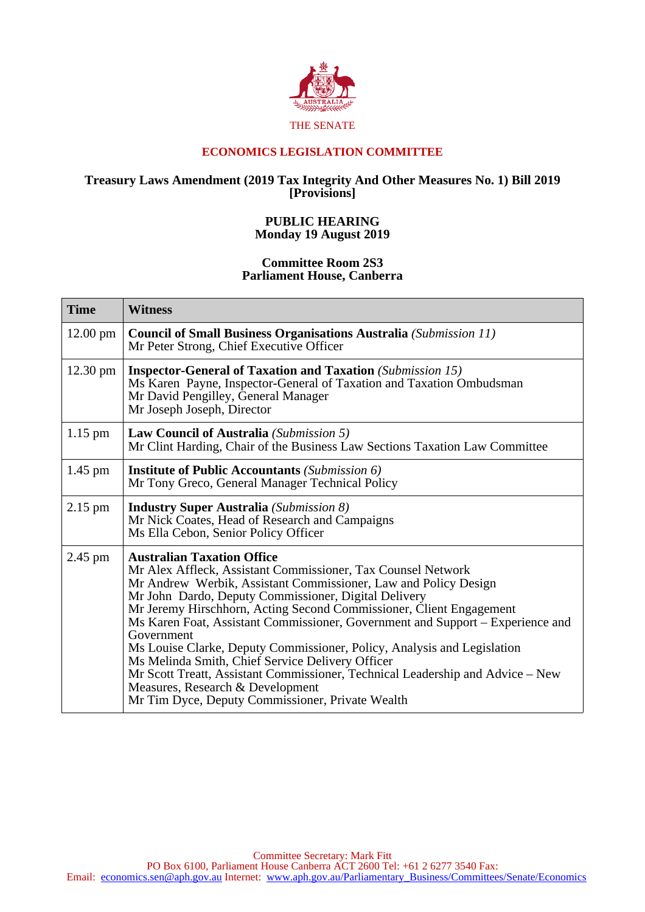

## **ECONOMICS LEGISLATION COMMITTEE**

## **Treasury Laws Amendment (2019 Tax Integrity And Other Measures No. 1) Bill 2019 [Provisions]**

## **PUBLIC HEARING Monday 19 August 2019**

## **Committee Room 2S3 Parliament House, Canberra**

| <b>Time</b>        | <b>Witness</b>                                                                                                                                                                                                                                                                                                                                                                                                                                                                                                                                                                                                                                                                                               |
|--------------------|--------------------------------------------------------------------------------------------------------------------------------------------------------------------------------------------------------------------------------------------------------------------------------------------------------------------------------------------------------------------------------------------------------------------------------------------------------------------------------------------------------------------------------------------------------------------------------------------------------------------------------------------------------------------------------------------------------------|
| $12.00 \text{ pm}$ | <b>Council of Small Business Organisations Australia</b> (Submission 11)<br>Mr Peter Strong, Chief Executive Officer                                                                                                                                                                                                                                                                                                                                                                                                                                                                                                                                                                                         |
| $12.30 \text{ pm}$ | <b>Inspector-General of Taxation and Taxation</b> (Submission 15)<br>Ms Karen Payne, Inspector-General of Taxation and Taxation Ombudsman<br>Mr David Pengilley, General Manager<br>Mr Joseph Joseph, Director                                                                                                                                                                                                                                                                                                                                                                                                                                                                                               |
| $1.15$ pm          | Law Council of Australia (Submission 5)<br>Mr Clint Harding, Chair of the Business Law Sections Taxation Law Committee                                                                                                                                                                                                                                                                                                                                                                                                                                                                                                                                                                                       |
| $1.45$ pm          | <b>Institute of Public Accountants</b> (Submission 6)<br>Mr Tony Greco, General Manager Technical Policy                                                                                                                                                                                                                                                                                                                                                                                                                                                                                                                                                                                                     |
| $2.15$ pm          | <b>Industry Super Australia</b> (Submission 8)<br>Mr Nick Coates, Head of Research and Campaigns<br>Ms Ella Cebon, Senior Policy Officer                                                                                                                                                                                                                                                                                                                                                                                                                                                                                                                                                                     |
| $2.45$ pm          | <b>Australian Taxation Office</b><br>Mr Alex Affleck, Assistant Commissioner, Tax Counsel Network<br>Mr Andrew Werbik, Assistant Commissioner, Law and Policy Design<br>Mr John Dardo, Deputy Commissioner, Digital Delivery<br>Mr Jeremy Hirschhorn, Acting Second Commissioner, Client Engagement<br>Ms Karen Foat, Assistant Commissioner, Government and Support – Experience and<br>Government<br>Ms Louise Clarke, Deputy Commissioner, Policy, Analysis and Legislation<br>Ms Melinda Smith, Chief Service Delivery Officer<br>Mr Scott Treatt, Assistant Commissioner, Technical Leadership and Advice – New<br>Measures, Research & Development<br>Mr Tim Dyce, Deputy Commissioner, Private Wealth |